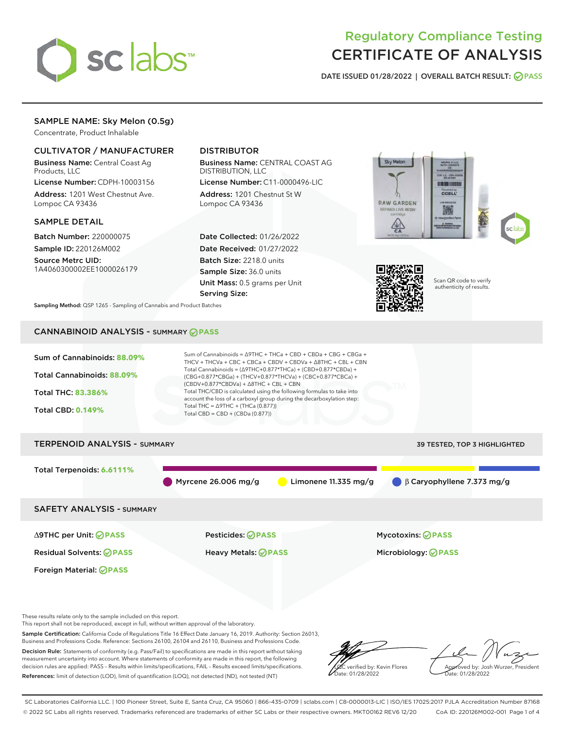

# Regulatory Compliance Testing CERTIFICATE OF ANALYSIS

DATE ISSUED 01/28/2022 | OVERALL BATCH RESULT: @ PASS

# SAMPLE NAME: Sky Melon (0.5g)

Concentrate, Product Inhalable

# CULTIVATOR / MANUFACTURER

Business Name: Central Coast Ag Products, LLC

License Number: CDPH-10003156 Address: 1201 West Chestnut Ave. Lompoc CA 93436

#### SAMPLE DETAIL

Batch Number: 220000075 Sample ID: 220126M002

Source Metrc UID: 1A4060300002EE1000026179

# DISTRIBUTOR

Business Name: CENTRAL COAST AG DISTRIBUTION, LLC

License Number: C11-0000496-LIC Address: 1201 Chestnut St W Lompoc CA 93436

Date Collected: 01/26/2022 Date Received: 01/27/2022 Batch Size: 2218.0 units Sample Size: 36.0 units Unit Mass: 0.5 grams per Unit Serving Size:





Scan QR code to verify authenticity of results.

Sampling Method: QSP 1265 - Sampling of Cannabis and Product Batches

# CANNABINOID ANALYSIS - SUMMARY **PASS**



Sample Certification: California Code of Regulations Title 16 Effect Date January 16, 2019. Authority: Section 26013, Business and Professions Code. Reference: Sections 26100, 26104 and 26110, Business and Professions Code. Decision Rule: Statements of conformity (e.g. Pass/Fail) to specifications are made in this report without taking measurement uncertainty into account. Where statements of conformity are made in this report, the following decision rules are applied: PASS – Results within limits/specifications, FAIL – Results exceed limits/specifications. References: limit of detection (LOD), limit of quantification (LOQ), not detected (ND), not tested (NT)



Approved by: Josh Wurzer, President Date: 01/28/2022

SC Laboratories California LLC. | 100 Pioneer Street, Suite E, Santa Cruz, CA 95060 | 866-435-0709 | sclabs.com | C8-0000013-LIC | ISO/IES 17025:2017 PJLA Accreditation Number 87168 © 2022 SC Labs all rights reserved. Trademarks referenced are trademarks of either SC Labs or their respective owners. MKT00162 REV6 12/20 CoA ID: 220126M002-001 Page 1 of 4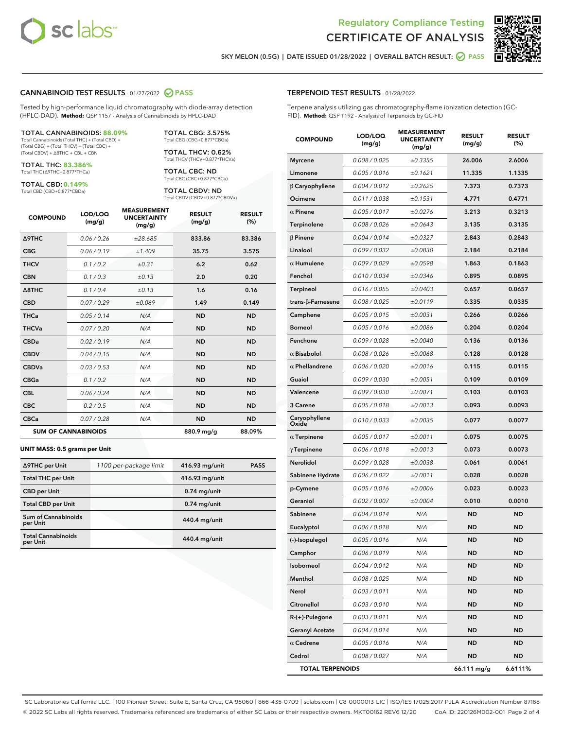



SKY MELON (0.5G) | DATE ISSUED 01/28/2022 | OVERALL BATCH RESULT:  $\bigcirc$  PASS

#### CANNABINOID TEST RESULTS - 01/27/2022 2 PASS

Tested by high-performance liquid chromatography with diode-array detection (HPLC-DAD). **Method:** QSP 1157 - Analysis of Cannabinoids by HPLC-DAD

#### TOTAL CANNABINOIDS: **88.09%**

Total Cannabinoids (Total THC) + (Total CBD) + (Total CBG) + (Total THCV) + (Total CBC) + (Total CBDV) + ∆8THC + CBL + CBN

TOTAL THC: **83.386%** Total THC (∆9THC+0.877\*THCa)

TOTAL CBD: **0.149%**

Total CBD (CBD+0.877\*CBDa)

TOTAL CBG: 3.575% Total CBG (CBG+0.877\*CBGa)

TOTAL THCV: 0.62% Total THCV (THCV+0.877\*THCVa)

TOTAL CBC: ND Total CBC (CBC+0.877\*CBCa)

TOTAL CBDV: ND Total CBDV (CBDV+0.877\*CBDVa)

| <b>COMPOUND</b>            | LOD/LOQ<br>(mg/g) | <b>MEASUREMENT</b><br><b>UNCERTAINTY</b><br>(mg/g) | <b>RESULT</b><br>(mg/g) | <b>RESULT</b><br>(%) |
|----------------------------|-------------------|----------------------------------------------------|-------------------------|----------------------|
| <b>A9THC</b>               | 0.06/0.26         | ±28.685                                            | 833.86                  | 83.386               |
| <b>CBG</b>                 | 0.06/0.19         | ±1.409                                             | 35.75                   | 3.575                |
| <b>THCV</b>                | 0.1/0.2           | ±0.31                                              | 6.2                     | 0.62                 |
| <b>CBN</b>                 | 0.1/0.3           | ±0.13                                              | 2.0                     | 0.20                 |
| $\triangle$ 8THC           | 0.1/0.4           | ±0.13                                              | 1.6                     | 0.16                 |
| <b>CBD</b>                 | 0.07/0.29         | ±0.069                                             | 1.49                    | 0.149                |
| <b>THCa</b>                | 0.05/0.14         | N/A                                                | <b>ND</b>               | <b>ND</b>            |
| <b>THCVa</b>               | 0.07/0.20         | N/A                                                | <b>ND</b>               | <b>ND</b>            |
| <b>CBDa</b>                | 0.02/0.19         | N/A                                                | <b>ND</b>               | <b>ND</b>            |
| <b>CBDV</b>                | 0.04 / 0.15       | N/A                                                | <b>ND</b>               | <b>ND</b>            |
| <b>CBDVa</b>               | 0.03 / 0.53       | N/A                                                | <b>ND</b>               | <b>ND</b>            |
| <b>CBGa</b>                | 0.1/0.2           | N/A                                                | <b>ND</b>               | <b>ND</b>            |
| <b>CBL</b>                 | 0.06 / 0.24       | N/A                                                | <b>ND</b>               | <b>ND</b>            |
| <b>CBC</b>                 | 0.2 / 0.5         | N/A                                                | <b>ND</b>               | <b>ND</b>            |
| <b>CBCa</b>                | 0.07/0.28         | N/A                                                | <b>ND</b>               | <b>ND</b>            |
| <b>SUM OF CANNABINOIDS</b> |                   |                                                    | 880.9 mg/g              | 88.09%               |

#### **UNIT MASS: 0.5 grams per Unit**

| ∆9THC per Unit                        | 1100 per-package limit | 416.93 mg/unit | <b>PASS</b> |
|---------------------------------------|------------------------|----------------|-------------|
| <b>Total THC per Unit</b>             |                        | 416.93 mg/unit |             |
| <b>CBD</b> per Unit                   |                        | $0.74$ mg/unit |             |
| <b>Total CBD per Unit</b>             |                        | $0.74$ mg/unit |             |
| Sum of Cannabinoids<br>per Unit       |                        | 440.4 mg/unit  |             |
| <b>Total Cannabinoids</b><br>per Unit |                        | 440.4 mg/unit  |             |

| <b>COMPOUND</b>         | LOD/LOQ<br>(mg/g)    | <b>MEASUREMENT</b><br><b>UNCERTAINTY</b><br>(mg/g) | <b>RESULT</b><br>(mg/g) | <b>RESULT</b><br>(%) |
|-------------------------|----------------------|----------------------------------------------------|-------------------------|----------------------|
| <b>Myrcene</b>          | 0.008 / 0.025        | ±0.3355                                            | 26.006                  | 2.6006               |
| Limonene                | 0.005 / 0.016        | ±0.1621                                            | 11.335                  | 1.1335               |
| $\beta$ Caryophyllene   | 0.004 / 0.012        | ±0.2625                                            | 7.373                   | 0.7373               |
| Ocimene                 | 0.011 / 0.038        | ±0.1531                                            | 4.771                   | 0.4771               |
| $\alpha$ Pinene         | 0.005 / 0.017        | ±0.0276                                            | 3.213                   | 0.3213               |
| Terpinolene             | 0.008 / 0.026        | ±0.0643                                            | 3.135                   | 0.3135               |
| $\beta$ Pinene          | 0.004 / 0.014        | ±0.0327                                            | 2.843                   | 0.2843               |
| Linalool                | 0.009 / 0.032        | ±0.0830                                            | 2.184                   | 0.2184               |
| $\alpha$ Humulene       | 0.009 / 0.029        | ±0.0598                                            | 1.863                   | 0.1863               |
| Fenchol                 | 0.010 / 0.034        | ±0.0346                                            | 0.895                   | 0.0895               |
| Terpineol               | 0.016 / 0.055        | ±0.0403                                            | 0.657                   | 0.0657               |
| trans-β-Farnesene       | 0.008 / 0.025        | ±0.0119                                            | 0.335                   | 0.0335               |
| Camphene                | 0.005 / 0.015        | ±0.0031                                            | 0.266                   | 0.0266               |
| <b>Borneol</b>          | 0.005 / 0.016        | ±0.0086                                            | 0.204                   | 0.0204               |
| Fenchone                | 0.009 / 0.028        | ±0.0040                                            | 0.136                   | 0.0136               |
| $\alpha$ Bisabolol      | 0.008 / 0.026        | ±0.0068                                            | 0.128                   | 0.0128               |
| $\alpha$ Phellandrene   | 0.006 / 0.020        | ±0.0016                                            | 0.115                   | 0.0115               |
| Guaiol                  | <i>0.009 / 0.030</i> | ±0.0051                                            | 0.109                   | 0.0109               |
| Valencene               | 0.009 / 0.030        | ±0.0071                                            | 0.103                   | 0.0103               |
| 3 Carene                | 0.005 / 0.018        | ±0.0013                                            | 0.093                   | 0.0093               |
| Caryophyllene<br>Oxide  | 0.010 / 0.033        | ±0.0035                                            | 0.077                   | 0.0077               |
| $\alpha$ Terpinene      | 0.005 / 0.017        | ±0.0011                                            | 0.075                   | 0.0075               |
| $\gamma$ Terpinene      | 0.006 / 0.018        | ±0.0013                                            | 0.073                   | 0.0073               |
| Nerolidol               | 0.009 / 0.028        | ±0.0038                                            | 0.061                   | 0.0061               |
| Sabinene Hydrate        | 0.006 / 0.022        | ±0.0011                                            | 0.028                   | 0.0028               |
| p-Cymene                | 0.005 / 0.016        | ±0.0006                                            | 0.023                   | 0.0023               |
| Geraniol                | 0.002 / 0.007        | ±0.0004                                            | 0.010                   | 0.0010               |
| Sabinene                | 0.004 / 0.014        | N/A                                                | <b>ND</b>               | ND                   |
| Eucalyptol              | 0.006 / 0.018        | N/A                                                | <b>ND</b>               | <b>ND</b>            |
| (-)-Isopulegol          | 0.005 / 0.016        | N/A                                                | <b>ND</b>               | <b>ND</b>            |
| Camphor                 | 0.006 / 0.019        | N/A                                                | ND                      | ND                   |
| Isoborneol              | 0.004 / 0.012        | N/A                                                | <b>ND</b>               | ND                   |
| Menthol                 | 0.008 / 0.025        | N/A                                                | ND                      | ND                   |
| Nerol                   | 0.003 / 0.011        | N/A                                                | ND                      | ND                   |
| Citronellol             | 0.003 / 0.010        | N/A                                                | <b>ND</b>               | ND                   |
| $R-(+)$ -Pulegone       | 0.003 / 0.011        | N/A                                                | ND                      | ND                   |
| <b>Geranyl Acetate</b>  | 0.004 / 0.014        | N/A                                                | ND                      | ND                   |
| $\alpha$ Cedrene        | 0.005 / 0.016        | N/A                                                | <b>ND</b>               | ND                   |
| Cedrol                  | 0.008 / 0.027        | N/A                                                | ND                      | ND                   |
| <b>TOTAL TERPENOIDS</b> |                      |                                                    | 66.111 mg/g             | 6.6111%              |

SC Laboratories California LLC. | 100 Pioneer Street, Suite E, Santa Cruz, CA 95060 | 866-435-0709 | sclabs.com | C8-0000013-LIC | ISO/IES 17025:2017 PJLA Accreditation Number 87168 © 2022 SC Labs all rights reserved. Trademarks referenced are trademarks of either SC Labs or their respective owners. MKT00162 REV6 12/20 CoA ID: 220126M002-001 Page 2 of 4

# TERPENOID TEST RESULTS - 01/28/2022

Terpene analysis utilizing gas chromatography-flame ionization detection (GC-FID). **Method:** QSP 1192 - Analysis of Terpenoids by GC-FID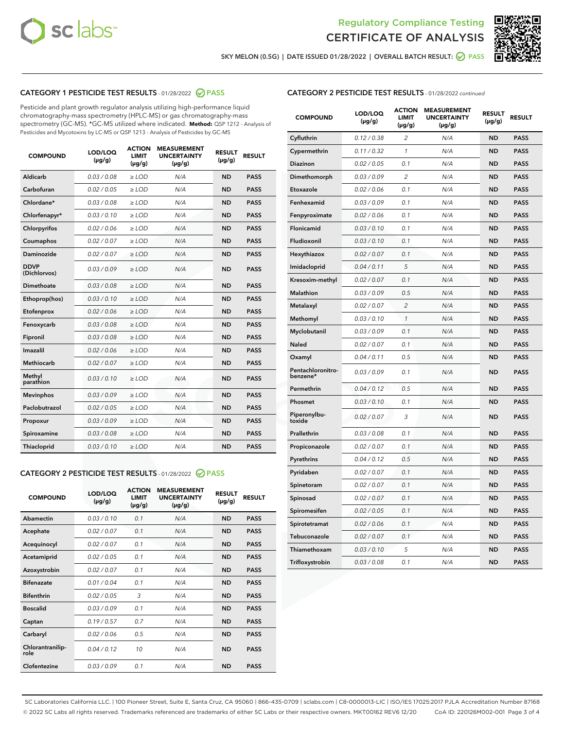



SKY MELON (0.5G) | DATE ISSUED 01/28/2022 | OVERALL BATCH RESULT:  $\bigcirc$  PASS

# CATEGORY 1 PESTICIDE TEST RESULTS - 01/28/2022 2 PASS

Pesticide and plant growth regulator analysis utilizing high-performance liquid chromatography-mass spectrometry (HPLC-MS) or gas chromatography-mass spectrometry (GC-MS). \*GC-MS utilized where indicated. **Method:** QSP 1212 - Analysis of Pesticides and Mycotoxins by LC-MS or QSP 1213 - Analysis of Pesticides by GC-MS

| <b>COMPOUND</b>             | LOD/LOQ<br>$(\mu g/g)$ | <b>ACTION</b><br><b>LIMIT</b><br>$(\mu g/g)$ | <b>MEASUREMENT</b><br><b>UNCERTAINTY</b><br>$(\mu g/g)$ | <b>RESULT</b><br>$(\mu g/g)$ | <b>RESULT</b> |
|-----------------------------|------------------------|----------------------------------------------|---------------------------------------------------------|------------------------------|---------------|
| Aldicarb                    | 0.03 / 0.08            | $\ge$ LOD                                    | N/A                                                     | <b>ND</b>                    | <b>PASS</b>   |
| Carbofuran                  | 0.02/0.05              | $>$ LOD                                      | N/A                                                     | <b>ND</b>                    | <b>PASS</b>   |
| Chlordane*                  | 0.03 / 0.08            | $\ge$ LOD                                    | N/A                                                     | <b>ND</b>                    | <b>PASS</b>   |
| Chlorfenapyr*               | 0.03/0.10              | $>$ LOD                                      | N/A                                                     | <b>ND</b>                    | <b>PASS</b>   |
| Chlorpyrifos                | 0.02 / 0.06            | $\ge$ LOD                                    | N/A                                                     | <b>ND</b>                    | <b>PASS</b>   |
| Coumaphos                   | 0.02 / 0.07            | $\ge$ LOD                                    | N/A                                                     | <b>ND</b>                    | <b>PASS</b>   |
| Daminozide                  | 0.02 / 0.07            | $\ge$ LOD                                    | N/A                                                     | <b>ND</b>                    | <b>PASS</b>   |
| <b>DDVP</b><br>(Dichlorvos) | 0.03/0.09              | $\ge$ LOD                                    | N/A                                                     | <b>ND</b>                    | <b>PASS</b>   |
| Dimethoate                  | 0.03/0.08              | $>$ LOD                                      | N/A                                                     | <b>ND</b>                    | <b>PASS</b>   |
| Ethoprop(hos)               | 0.03/0.10              | $\ge$ LOD                                    | N/A                                                     | <b>ND</b>                    | <b>PASS</b>   |
| Etofenprox                  | 0.02 / 0.06            | $\ge$ LOD                                    | N/A                                                     | <b>ND</b>                    | <b>PASS</b>   |
| Fenoxycarb                  | 0.03 / 0.08            | $\ge$ LOD                                    | N/A                                                     | <b>ND</b>                    | <b>PASS</b>   |
| Fipronil                    | 0.03/0.08              | $>$ LOD                                      | N/A                                                     | <b>ND</b>                    | <b>PASS</b>   |
| Imazalil                    | 0.02 / 0.06            | $\ge$ LOD                                    | N/A                                                     | <b>ND</b>                    | <b>PASS</b>   |
| <b>Methiocarb</b>           | 0.02 / 0.07            | $\ge$ LOD                                    | N/A                                                     | <b>ND</b>                    | <b>PASS</b>   |
| Methyl<br>parathion         | 0.03/0.10              | $\ge$ LOD                                    | N/A                                                     | <b>ND</b>                    | <b>PASS</b>   |
| <b>Mevinphos</b>            | 0.03/0.09              | $>$ LOD                                      | N/A                                                     | <b>ND</b>                    | <b>PASS</b>   |
| Paclobutrazol               | 0.02 / 0.05            | $\ge$ LOD                                    | N/A                                                     | <b>ND</b>                    | <b>PASS</b>   |
| Propoxur                    | 0.03/0.09              | $\ge$ LOD                                    | N/A                                                     | <b>ND</b>                    | <b>PASS</b>   |
| Spiroxamine                 | 0.03 / 0.08            | $\ge$ LOD                                    | N/A                                                     | <b>ND</b>                    | <b>PASS</b>   |
| Thiacloprid                 | 0.03/0.10              | $\ge$ LOD                                    | N/A                                                     | <b>ND</b>                    | <b>PASS</b>   |

#### CATEGORY 2 PESTICIDE TEST RESULTS - 01/28/2022 2 PASS

| <b>COMPOUND</b>          | LOD/LOO<br>$(\mu g/g)$ | <b>ACTION</b><br>LIMIT<br>$(\mu g/g)$ | <b>MEASUREMENT</b><br><b>UNCERTAINTY</b><br>$(\mu g/g)$ | <b>RESULT</b><br>$(\mu g/g)$ | <b>RESULT</b> |  |
|--------------------------|------------------------|---------------------------------------|---------------------------------------------------------|------------------------------|---------------|--|
| Abamectin                | 0.03/0.10              | 0.1                                   | N/A                                                     | <b>ND</b>                    | <b>PASS</b>   |  |
| Acephate                 | 0.02/0.07              | 0.1                                   | N/A                                                     | <b>ND</b>                    | <b>PASS</b>   |  |
| Acequinocyl              | 0.02/0.07              | 0.1                                   | N/A                                                     | <b>ND</b>                    | <b>PASS</b>   |  |
| Acetamiprid              | 0.02 / 0.05            | 0.1                                   | N/A                                                     | <b>ND</b>                    | <b>PASS</b>   |  |
| Azoxystrobin             | 0.02/0.07              | 0.1                                   | N/A                                                     | <b>ND</b>                    | <b>PASS</b>   |  |
| <b>Bifenazate</b>        | 0.01 / 0.04            | 0.1                                   | N/A                                                     | <b>ND</b>                    | <b>PASS</b>   |  |
| <b>Bifenthrin</b>        | 0.02/0.05              | 3                                     | N/A                                                     | <b>ND</b>                    | <b>PASS</b>   |  |
| <b>Boscalid</b>          | 0.03/0.09              | 0.1                                   | N/A                                                     | <b>ND</b>                    | <b>PASS</b>   |  |
| Captan                   | 0.19/0.57              | 0.7                                   | N/A                                                     | <b>ND</b>                    | <b>PASS</b>   |  |
| Carbaryl                 | 0.02/0.06              | 0.5                                   | N/A                                                     | <b>ND</b>                    | <b>PASS</b>   |  |
| Chlorantranilip-<br>role | 0.04/0.12              | 10                                    | N/A                                                     | <b>ND</b>                    | <b>PASS</b>   |  |
| Clofentezine             | 0.03/0.09              | 0.1                                   | N/A                                                     | <b>ND</b>                    | <b>PASS</b>   |  |

| <b>CATEGORY 2 PESTICIDE TEST RESULTS</b> - 01/28/2022 continued |
|-----------------------------------------------------------------|
|-----------------------------------------------------------------|

| <b>COMPOUND</b>               | LOD/LOQ<br>(µg/g) | <b>ACTION</b><br><b>LIMIT</b><br>$(\mu g/g)$ | <b>MEASUREMENT</b><br><b>UNCERTAINTY</b><br>$(\mu g/g)$ | <b>RESULT</b><br>(µg/g) | <b>RESULT</b> |
|-------------------------------|-------------------|----------------------------------------------|---------------------------------------------------------|-------------------------|---------------|
| Cyfluthrin                    | 0.12 / 0.38       | $\overline{c}$                               | N/A                                                     | <b>ND</b>               | <b>PASS</b>   |
| Cypermethrin                  | 0.11 / 0.32       | 1                                            | N/A                                                     | ND                      | <b>PASS</b>   |
| <b>Diazinon</b>               | 0.02 / 0.05       | 0.1                                          | N/A                                                     | ND                      | <b>PASS</b>   |
| Dimethomorph                  | 0.03 / 0.09       | $\overline{2}$                               | N/A                                                     | ND                      | <b>PASS</b>   |
| Etoxazole                     | 0.02 / 0.06       | 0.1                                          | N/A                                                     | ND                      | <b>PASS</b>   |
| Fenhexamid                    | 0.03 / 0.09       | 0.1                                          | N/A                                                     | ND                      | <b>PASS</b>   |
| Fenpyroximate                 | 0.02 / 0.06       | 0.1                                          | N/A                                                     | <b>ND</b>               | <b>PASS</b>   |
| Flonicamid                    | 0.03 / 0.10       | 0.1                                          | N/A                                                     | <b>ND</b>               | <b>PASS</b>   |
| Fludioxonil                   | 0.03 / 0.10       | 0.1                                          | N/A                                                     | <b>ND</b>               | <b>PASS</b>   |
| Hexythiazox                   | 0.02 / 0.07       | 0.1                                          | N/A                                                     | <b>ND</b>               | <b>PASS</b>   |
| Imidacloprid                  | 0.04 / 0.11       | 5                                            | N/A                                                     | <b>ND</b>               | <b>PASS</b>   |
| Kresoxim-methyl               | 0.02 / 0.07       | 0.1                                          | N/A                                                     | ND                      | <b>PASS</b>   |
| <b>Malathion</b>              | 0.03 / 0.09       | 0.5                                          | N/A                                                     | ND                      | <b>PASS</b>   |
| Metalaxyl                     | 0.02 / 0.07       | $\overline{2}$                               | N/A                                                     | <b>ND</b>               | <b>PASS</b>   |
| Methomyl                      | 0.03 / 0.10       | $\mathbf{1}$                                 | N/A                                                     | <b>ND</b>               | <b>PASS</b>   |
| Myclobutanil                  | 0.03 / 0.09       | 0.1                                          | N/A                                                     | ND                      | <b>PASS</b>   |
| <b>Naled</b>                  | 0.02 / 0.07       | 0.1                                          | N/A                                                     | <b>ND</b>               | <b>PASS</b>   |
| Oxamyl                        | 0.04 / 0.11       | 0.5                                          | N/A                                                     | <b>ND</b>               | <b>PASS</b>   |
| Pentachloronitro-<br>benzene* | 0.03 / 0.09       | 0.1                                          | N/A                                                     | <b>ND</b>               | <b>PASS</b>   |
| Permethrin                    | 0.04 / 0.12       | 0.5                                          | N/A                                                     | ND                      | <b>PASS</b>   |
| Phosmet                       | 0.03 / 0.10       | 0.1                                          | N/A                                                     | <b>ND</b>               | <b>PASS</b>   |
| Piperonylbu-<br>toxide        | 0.02 / 0.07       | 3                                            | N/A                                                     | ND                      | <b>PASS</b>   |
| Prallethrin                   | 0.03 / 0.08       | 0.1                                          | N/A                                                     | ND                      | <b>PASS</b>   |
| Propiconazole                 | 0.02 / 0.07       | 0.1                                          | N/A                                                     | ND                      | <b>PASS</b>   |
| Pyrethrins                    | 0.04 / 0.12       | 0.5                                          | N/A                                                     | ND                      | <b>PASS</b>   |
| Pyridaben                     | 0.02 / 0.07       | 0.1                                          | N/A                                                     | <b>ND</b>               | <b>PASS</b>   |
| Spinetoram                    | 0.02 / 0.07       | 0.1                                          | N/A                                                     | ND                      | <b>PASS</b>   |
| Spinosad                      | 0.02 / 0.07       | 0.1                                          | N/A                                                     | ND                      | <b>PASS</b>   |
| Spiromesifen                  | 0.02 / 0.05       | 0.1                                          | N/A                                                     | ND                      | <b>PASS</b>   |
| Spirotetramat                 | 0.02 / 0.06       | 0.1                                          | N/A                                                     | ND                      | <b>PASS</b>   |
| Tebuconazole                  | 0.02 / 0.07       | 0.1                                          | N/A                                                     | ND                      | <b>PASS</b>   |
| Thiamethoxam                  | 0.03 / 0.10       | 5                                            | N/A                                                     | ND                      | <b>PASS</b>   |
| Trifloxystrobin               | 0.03 / 0.08       | 0.1                                          | N/A                                                     | <b>ND</b>               | <b>PASS</b>   |

SC Laboratories California LLC. | 100 Pioneer Street, Suite E, Santa Cruz, CA 95060 | 866-435-0709 | sclabs.com | C8-0000013-LIC | ISO/IES 17025:2017 PJLA Accreditation Number 87168 © 2022 SC Labs all rights reserved. Trademarks referenced are trademarks of either SC Labs or their respective owners. MKT00162 REV6 12/20 CoA ID: 220126M002-001 Page 3 of 4